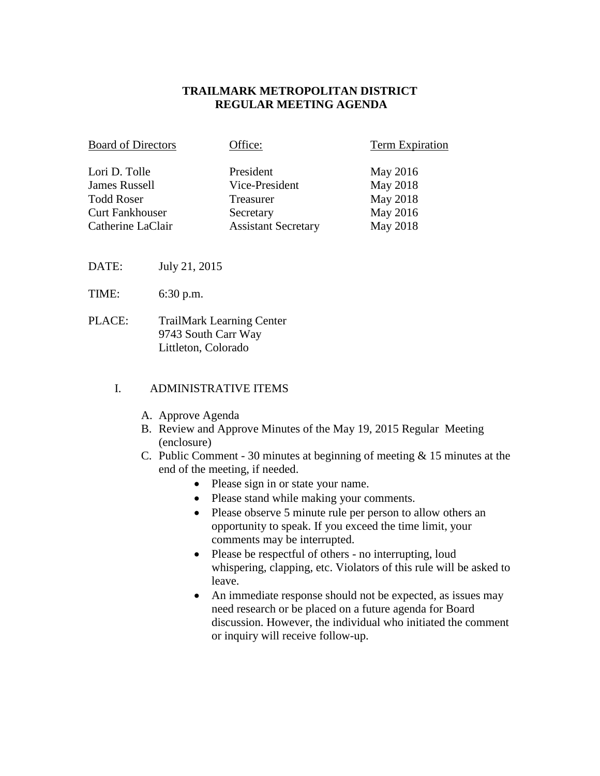### **TRAILMARK METROPOLITAN DISTRICT REGULAR MEETING AGENDA**

| <b>Board of Directors</b> | Office:                    | Term Expiration |
|---------------------------|----------------------------|-----------------|
| Lori D. Tolle             | President                  | May 2016        |
| <b>James Russell</b>      | Vice-President             | May 2018        |
| <b>Todd Roser</b>         | Treasurer                  | May 2018        |
| <b>Curt Fankhouser</b>    | Secretary                  | May 2016        |
| Catherine LaClair         | <b>Assistant Secretary</b> | May 2018        |

DATE: July 21, 2015

- TIME: 6:30 p.m.
- PLACE: TrailMark Learning Center 9743 South Carr Way Littleton, Colorado

#### I. ADMINISTRATIVE ITEMS

- A. Approve Agenda
- B. Review and Approve Minutes of the May 19, 2015 Regular Meeting (enclosure)
- C. Public Comment 30 minutes at beginning of meeting & 15 minutes at the end of the meeting, if needed.
	- Please sign in or state your name.
	- Please stand while making your comments.
	- Please observe 5 minute rule per person to allow others an opportunity to speak. If you exceed the time limit, your comments may be interrupted.
	- Please be respectful of others no interrupting, loud whispering, clapping, etc. Violators of this rule will be asked to leave.
	- An immediate response should not be expected, as issues may need research or be placed on a future agenda for Board discussion. However, the individual who initiated the comment or inquiry will receive follow-up.